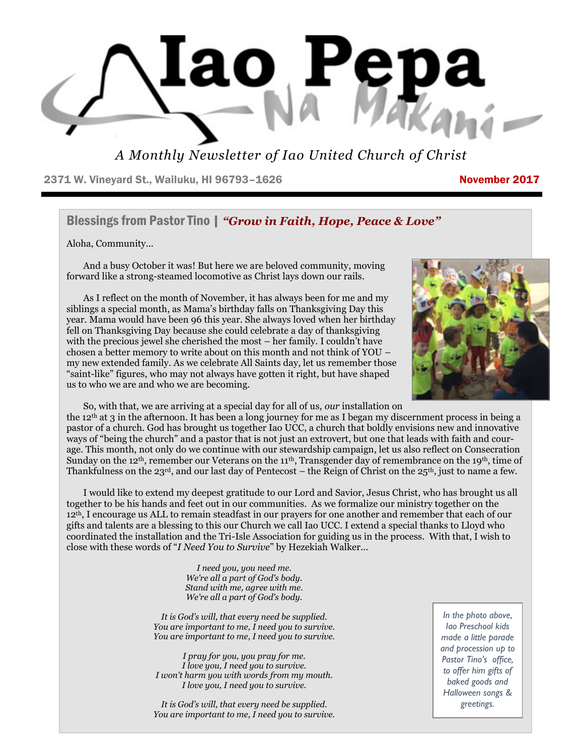

*A Monthly Newsletter of Iao United Church of Christ*

2371 W. Vineyard St., Wailuku, HI 96793-1626 November 2017

## Blessings from Pastor Tino | *"Grow in Faith, Hope, Peace & Love"*

Aloha, Community...

 And a busy October it was! But here we are beloved community, moving forward like a strong-steamed locomotive as Christ lays down our rails.





So, with that, we are arriving at a special day for all of us, *our* installation on

the 12th at 3 in the afternoon. It has been a long journey for me as I began my discernment process in being a pastor of a church. God has brought us together Iao UCC, a church that boldly envisions new and innovative ways of "being the church" and a pastor that is not just an extrovert, but one that leads with faith and courage. This month, not only do we continue with our stewardship campaign, let us also reflect on Consecration Sunday on the 12<sup>th</sup>, remember our Veterans on the 11<sup>th</sup>, Transgender day of remembrance on the 19<sup>th</sup>, time of Thankfulness on the 23rd, and our last day of Pentecost – the Reign of Christ on the 25th, just to name a few.

 I would like to extend my deepest gratitude to our Lord and Savior, Jesus Christ, who has brought us all together to be his hands and feet out in our communities. As we formalize our ministry together on the 12th, I encourage us ALL to remain steadfast in our prayers for one another and remember that each of our gifts and talents are a blessing to this our Church we call Iao UCC. I extend a special thanks to Lloyd who coordinated the installation and the Tri-Isle Association for guiding us in the process. With that, I wish to close with these words of "*I Need You to Survive*" by Hezekiah Walker...

> *I need you, you need me. We're all a part of God's body. Stand with me, agree with me. We're all a part of God's body.*

*It is God's will, that every need be supplied. You are important to me, I need you to survive. You are important to me, I need you to survive.* 

*I pray for you, you pray for me. I love you, I need you to survive. I won't harm you with words from my mouth. I love you, I need you to survive.* 

 *You are important to me, I need you to survive. It is God's will, that every need be supplied.*

*In the photo above, Iao Preschool kids made a little parade and procession up to Pastor Tino's office, to offer him gifts of baked goods and Halloween songs & greetings.*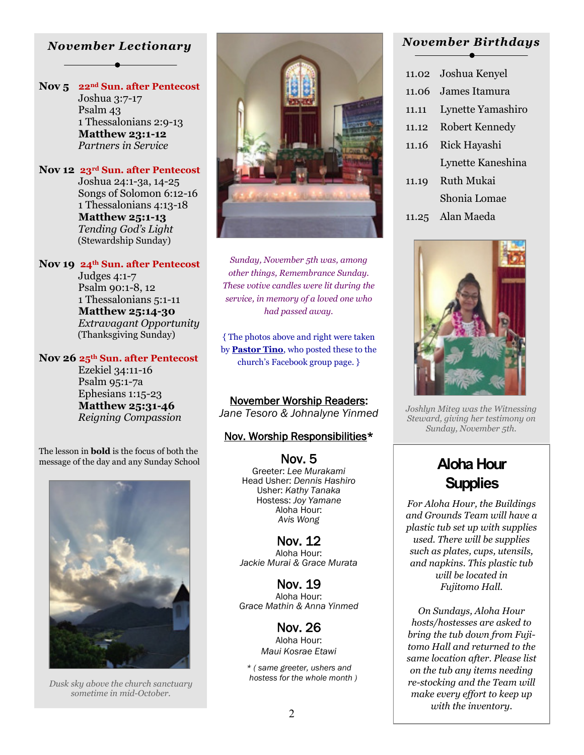### *November Lectionary*

**Nov 5 22nd Sun. after Pentecost** Joshua 3:7-17 Psalm 43 1 Thessalonians 2:9-13  **Matthew 23:1-12** *Partners in Service* 

### **Nov 12 23rd Sun. after Pentecost** Joshua 24:1-3a, 14-25 Songs of Solomon 6:12-16 1 Thessalonians 4:13-18

 **Matthew 25:1-13** *Tending God's Light* (Stewardship Sunday)

### **Nov 19 24th Sun. after Pentecost**

 Judges 4:1-7 Psalm 90:1-8, 12 1 Thessalonians 5:1-11  **Matthew 25:14-30** *Extravagant Opportunity*  (Thanksgiving Sunday)

### **Nov 26 25th Sun. after Pentecost**

 Ezekiel 34:11-16 Psalm 95:1-7a Ephesians 1:15-23  **Matthew 25:31-46** *Reigning Compassion* 

The lesson in **bold** is the focus of both the message of the day and any Sunday School **NOV.** 5 **Aloha Hour** 



 *hostess for the whole month ) Dusk sky above the church sanctuary sometime in mid-October.* 



*Sunday, November 5th was, among other things, Remembrance Sunday. These votive candles were lit during the service, in memory of a loved one who had passed away.* 

{ The photos above and right were taken by **Pastor Tino**, who posted these to the church's Facebook group page. }

November Worship Readers: *Jane Tesoro & Johnalyne Yinmed* 

### Nov. Worship Responsibilities\*

Nov. 5 Greeter: *Lee Murakami* Head Usher: *Dennis Hashiro* Usher: *Kathy Tanaka* Hostess: *Joy Yamane* Aloha Hour: *Avis Wong* 

Nov. 12 Aloha Hour: *Jackie Murai & Grace Murata* 

Nov. 19 Aloha Hour: *Grace Mathin & Anna Yinmed* 

> Nov. 26 Aloha Hour: *Maui Kosrae Etawi*

*\* ( same greeter, ushers and* 

### *November Birthdays*

- 11.02 Joshua Kenyel 11.06 James Itamura 11.11 Lynette Yamashiro 11.12 Robert Kennedy 11.16 Rick Hayashi Lynette Kaneshina 11.19 Ruth Mukai Shonia Lomae 11.25 Alan Maeda
	-

*Joshlyn Miteg was the Witnessing Steward, giving her testimony on Sunday, November 5th.* 

# **Supplies**

*For Aloha Hour, the Buildings and Grounds Team will have a plastic tub set up with supplies used. There will be supplies such as plates, cups, utensils, and napkins. This plastic tub will be located in Fujitomo Hall.* 

*On Sundays, Aloha Hour hosts/hostesses are asked to bring the tub down from Fujitomo Hall and returned to the same location after. Please list on the tub any items needing re-stocking and the Team will make every effort to keep up with the inventory.*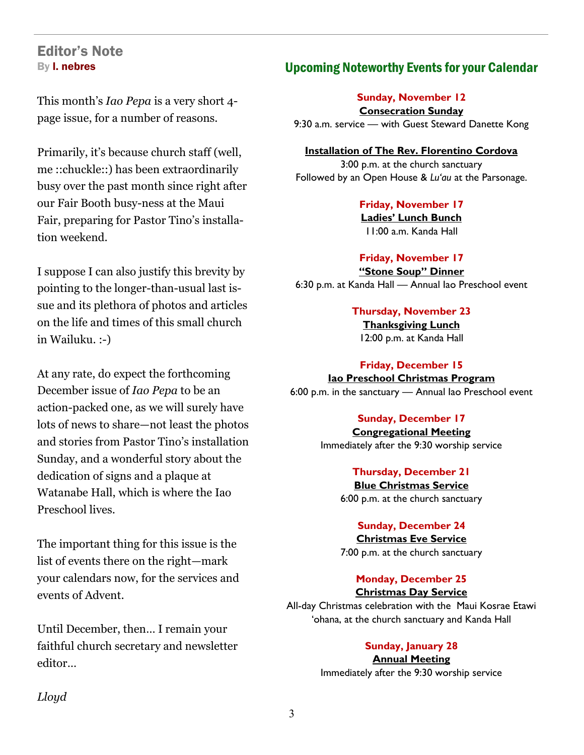# Editor's Note By l. nebres

This month's *Iao Pepa* is a very short 4 page issue, for a number of reasons.

Primarily, it's because church staff (well, me ::chuckle::) has been extraordinarily busy over the past month since right after our Fair Booth busy-ness at the Maui Fair, preparing for Pastor Tino's installation weekend.

I suppose I can also justify this brevity by pointing to the longer-than-usual last issue and its plethora of photos and articles on the life and times of this small church in Wailuku. :-)

At any rate, do expect the forthcoming December issue of *Iao Pepa* to be an action-packed one, as we will surely have lots of news to share—not least the photos and stories from Pastor Tino's installation Sunday, and a wonderful story about the dedication of signs and a plaque at Watanabe Hall, which is where the Iao Preschool lives.

The important thing for this issue is the list of events there on the right—mark your calendars now, for the services and events of Advent.

Until December, then… I remain your faithful church secretary and newsletter editor…

# Upcoming Noteworthy Events for your Calendar

**Sunday, November 12** 

**Consecration Sunday** 9:30 a.m. service — with Guest Steward Danette Kong

**Installation of The Rev. Florentino Cordova** 3:00 p.m. at the church sanctuary Followed by an Open House & *Lu'au* at the Parsonage.

> **Friday, November 17 Ladies' Lunch Bunch** 11:00 a.m. Kanda Hall

**Friday, November 17 "Stone Soup" Dinner** 6:30 p.m. at Kanda Hall — Annual Iao Preschool event

> **Thursday, November 23 Thanksgiving Lunch** 12:00 p.m. at Kanda Hall

**Friday, December 15 Iao Preschool Christmas Program** 6:00 p.m. in the sanctuary — Annual Iao Preschool event

### **Sunday, December 17**

**Congregational Meeting** Immediately after the 9:30 worship service

> **Thursday, December 21 Blue Christmas Service** 6:00 p.m. at the church sanctuary

### **Sunday, December 24**

**Christmas Eve Service**

7:00 p.m. at the church sanctuary

### **Monday, December 25 Christmas Day Service**

All-day Christmas celebration with the Maui Kosrae Etawi 'ohana, at the church sanctuary and Kanda Hall

### **Sunday, January 28**

**Annual Meeting**

Immediately after the 9:30 worship service

*Lloyd*